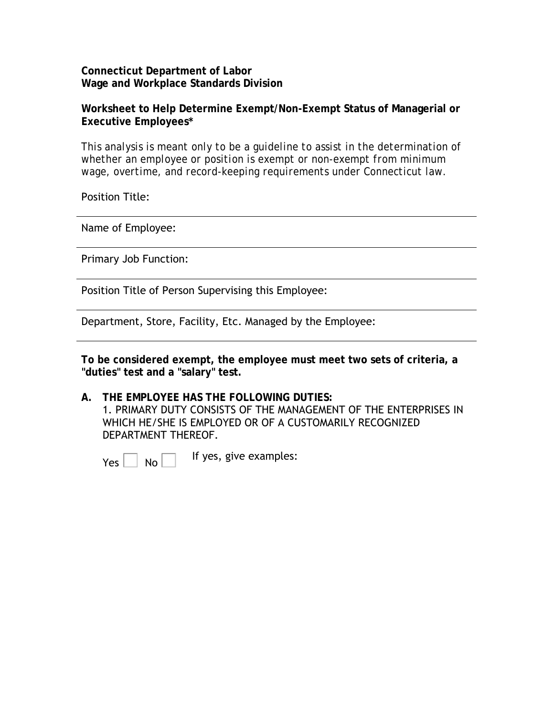**Connecticut Department of Labor Wage and Workplace Standards Division**

**Worksheet to Help Determine Exempt/Non-Exempt Status of Managerial or Executive Employees\*** 

*This analysis is meant only to be a guideline to assist in the determination of whether an employee or position is exempt or non-exempt from minimum wage, overtime, and record-keeping requirements under Connecticut law.*

Position Title:

Name of Employee:

Primary Job Function:

Position Title of Person Supervising this Employee:

Department, Store, Facility, Etc. Managed by the Employee:

**To be considered exempt, the employee must meet two sets of criteria, a "duties" test and a "salary" test.** 

**A. THE EMPLOYEE HAS THE FOLLOWING DUTIES:**  1. PRIMARY DUTY CONSISTS OF THE MANAGEMENT OF THE ENTERPRISES IN WHICH HE/SHE IS EMPLOYED OR OF A CUSTOMARILY RECOGNIZED DEPARTMENT THEREOF.

 $Y_{\text{es}}$   $\Box$  No  $\Box$  If yes, give examples: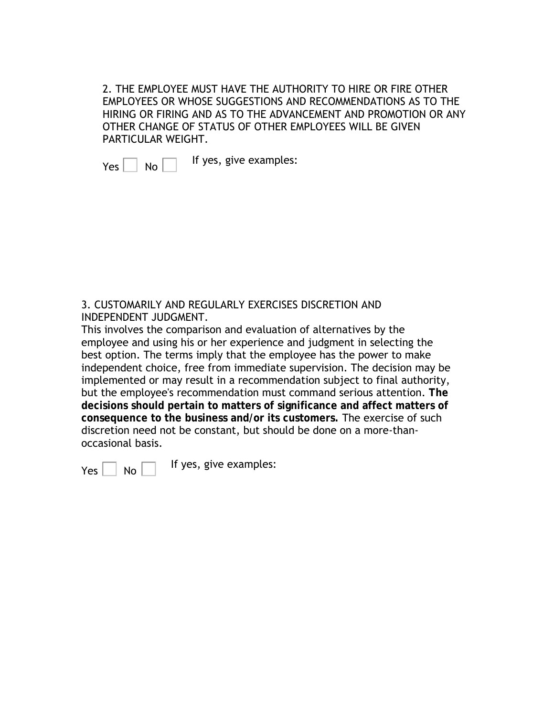2. THE EMPLOYEE MUST HAVE THE AUTHORITY TO HIRE OR FIRE OTHER EMPLOYEES OR WHOSE SUGGESTIONS AND RECOMMENDATIONS AS TO THE HIRING OR FIRING AND AS TO THE ADVANCEMENT AND PROMOTION OR ANY OTHER CHANGE OF STATUS OF OTHER EMPLOYEES WILL BE GIVEN PARTICULAR WEIGHT.

 $Yes \nightharpoonup No \nightharpoonup$  If yes, give examples:

3. CUSTOMARILY AND REGULARLY EXERCISES DISCRETION AND INDEPENDENT JUDGMENT.

This involves the comparison and evaluation of alternatives by the employee and using his or her experience and judgment in selecting the best option. The terms imply that the employee has the power to make independent choice, free from immediate supervision. The decision may be implemented or may result in a recommendation subject to final authority, but the employee's recommendation must command serious attention. **The decisions should pertain to matters of significance and affect matters of consequence to the business and/or its customers.** The exercise of such discretion need not be constant, but should be done on a more-thanoccasional basis.

 $Yes \nightharpoonup No \nightharpoonup$  If yes, give examples: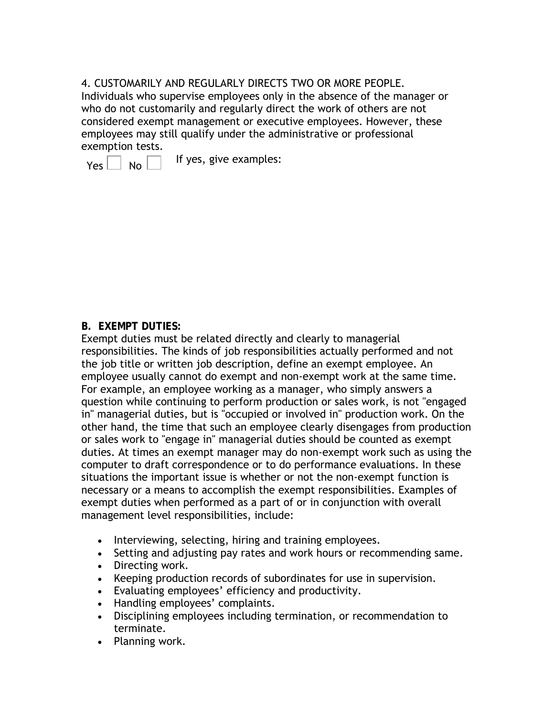4. CUSTOMARILY AND REGULARLY DIRECTS TWO OR MORE PEOPLE. Individuals who supervise employees only in the absence of the manager or who do not customarily and regularly direct the work of others are not considered exempt management or executive employees. However, these employees may still qualify under the administrative or professional exemption tests.

 $Y_{\text{es}}$   $\Box$  No  $\Box$  If yes, give examples:

### **B. EXEMPT DUTIES:**

Exempt duties must be related directly and clearly to managerial responsibilities. The kinds of job responsibilities actually performed and not the job title or written job description, define an exempt employee. An employee usually cannot do exempt and non-exempt work at the same time. For example, an employee working as a manager, who simply answers a question while continuing to perform production or sales work, is not "engaged in" managerial duties, but is "occupied or involved in" production work. On the other hand, the time that such an employee clearly disengages from production or sales work to "engage in" managerial duties should be counted as exempt duties. At times an exempt manager may do non-exempt work such as using the computer to draft correspondence or to do performance evaluations. In these situations the important issue is whether or not the non-exempt function is necessary or a means to accomplish the exempt responsibilities. Examples of exempt duties when performed as a part of or in conjunction with overall management level responsibilities, include:

- Interviewing, selecting, hiring and training employees.
- Setting and adjusting pay rates and work hours or recommending same.
- Directing work.
- Keeping production records of subordinates for use in supervision.
- Evaluating employees' efficiency and productivity.
- Handling employees' complaints.
- Disciplining employees including termination, or recommendation to terminate.
- Planning work.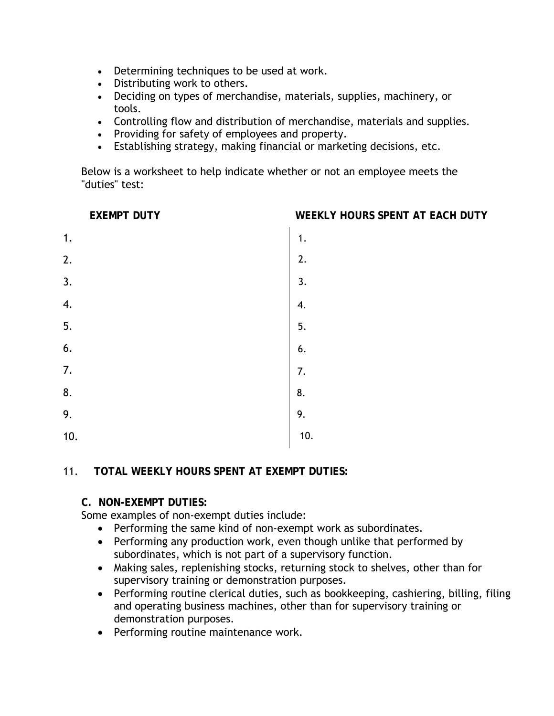- Determining techniques to be used at work.
- Distributing work to others.
- Deciding on types of merchandise, materials, supplies, machinery, or tools.
- Controlling flow and distribution of merchandise, materials and supplies.
- Providing for safety of employees and property.
- Establishing strategy, making financial or marketing decisions, etc.

Below is a worksheet to help indicate whether or not an employee meets the "duties" test:

**EXEMPT DUTY WEEKLY HOURS SPENT AT EACH DUTY**

| $\mathbf{1}$ .   | 1.               |
|------------------|------------------|
| $\overline{2}$ . | 2.               |
| $\overline{3}$ . | $\overline{3}$ . |
| 4.               | 4.               |
| $\overline{5}$ . | 5.               |
| 6.               | 6.               |
| $\overline{7}$ . | $\overline{7}$ . |
| 8.               | 8.               |
| 9.               | 9.<br>$10.$      |
| 10.              |                  |

## 11. **TOTAL WEEKLY HOURS SPENT AT EXEMPT DUTIES:**

### **C. NON-EXEMPT DUTIES:**

Some examples of non-exempt duties include:

- Performing the same kind of non-exempt work as subordinates.
- Performing any production work, even though unlike that performed by subordinates, which is not part of a supervisory function.
- Making sales, replenishing stocks, returning stock to shelves, other than for supervisory training or demonstration purposes.
- Performing routine clerical duties, such as bookkeeping, cashiering, billing, filing and operating business machines, other than for supervisory training or demonstration purposes.
- Performing routine maintenance work.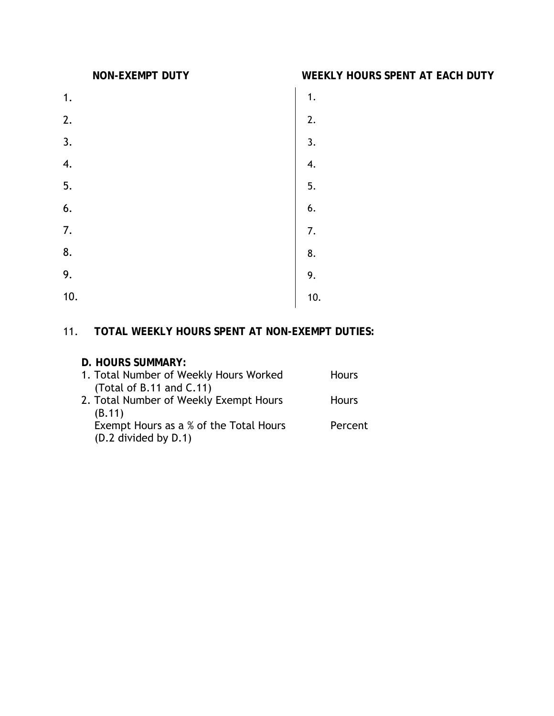- 1.
- 2.
- 3.
- 4.
- 5.
- 6.
- 7. 8.
- 1. 2. 3. 4. 5. 6. 7. 8. 9. 10. 9. 9. 10.

### **NON-EXEMPT DUTY WEEKLY HOURS SPENT AT EACH DUTY**

- $1.$ 
	-
- $2.$
- $3.$
- 4.
- $5.$
- $6.$
- $7.$
- 8.
- 
- 
- $10.$

# 11. **TOTAL WEEKLY HOURS SPENT AT NON-EXEMPT DUTIES:**

## **D. HOURS SUMMARY:**

| 1. Total Number of Weekly Hours Worked<br>(Total of B.11 and $C.11$ ) | <b>Hours</b> |
|-----------------------------------------------------------------------|--------------|
| 2. Total Number of Weekly Exempt Hours                                | <b>Hours</b> |
| (B.11)<br>Exempt Hours as a % of the Total Hours                      | Percent      |
| (D.2 divided by D.1)                                                  |              |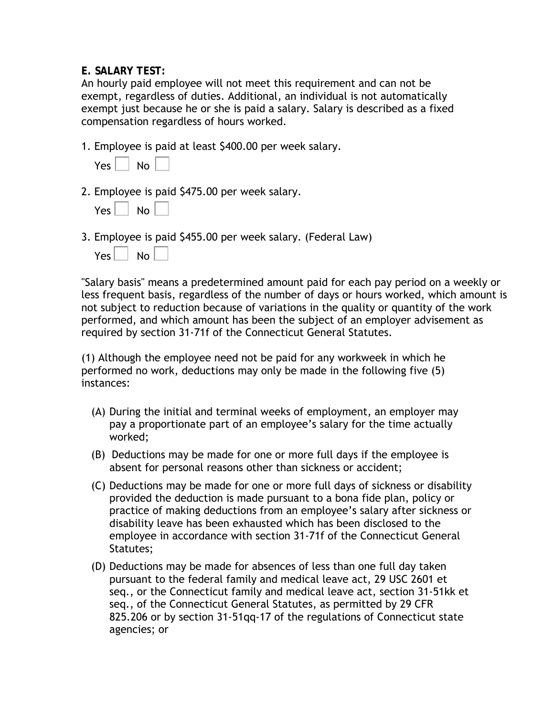### **E. SALARY TEST:**

An hourly paid employee will not meet this requirement and can not be exempt, regardless of duties. Additional, an individual is not automatically exempt just because he or she is paid a salary. Salary is described as a fixed compensation regardless of hours worked.

1. Employee is paid at least \$400.00 per week salary.

| Yes. | No |
|------|----|
|------|----|

2. Employee is paid \$475.00 per week salary.

| Yes | No |
|-----|----|
|-----|----|

3. Employee is paid \$455.00 per week salary. (Federal Law)

| Yes. | No |
|------|----|
|------|----|

"Salary basis" means a predetermined amount paid for each pay period on a weekly or less frequent basis, regardless of the number of days or hours worked, which amount is not subject to reduction because of variations in the quality or quantity of the work performed, and which amount has been the subject of an employer advisement as required by section 31-71f of the Connecticut General Statutes.

(1) Although the employee need not be paid for any workweek in which he performed no work, deductions may only be made in the following five (5) instances:

- (A) During the initial and terminal weeks of employment, an employer may pay a proportionate part of an employee's salary for the time actually worked;
- (B) Deductions may be made for one or more full days if the employee is absent for personal reasons other than sickness or accident;
- (C) Deductions may be made for one or more full days of sickness or disability provided the deduction is made pursuant to a bona fide plan, policy or practice of making deductions from an employee's salary after sickness or disability leave has been exhausted which has been disclosed to the employee in accordance with section 31-71f of the Connecticut General Statutes;
- (D) Deductions may be made for absences of less than one full day taken pursuant to the federal family and medical leave act, 29 USC 2601 et seq., or the Connecticut family and medical leave act, section 31-51kk et seq., of the Connecticut General Statutes, as permitted by 29 CFR 825.206 or by section 31-51qq-17 of the regulations of Connecticut state agencies; or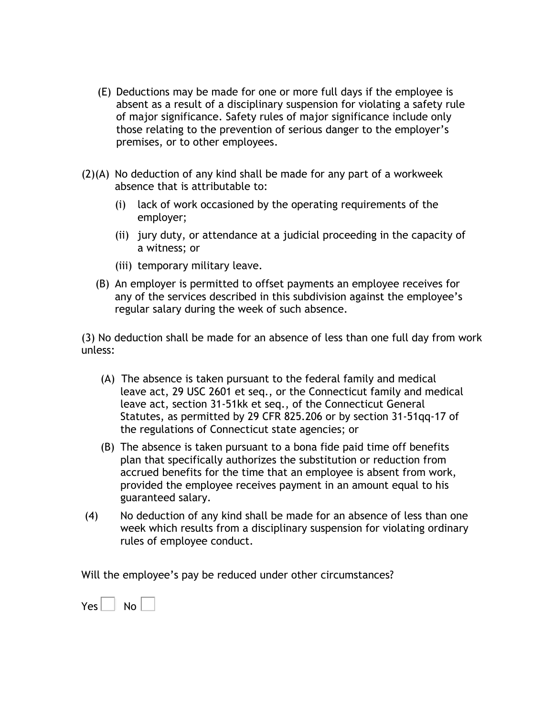- (E) Deductions may be made for one or more full days if the employee is absent as a result of a disciplinary suspension for violating a safety rule of major significance. Safety rules of major significance include only those relating to the prevention of serious danger to the employer's premises, or to other employees.
- (2)(A) No deduction of any kind shall be made for any part of a workweek absence that is attributable to:
	- (i) lack of work occasioned by the operating requirements of the employer;
	- (ii) jury duty, or attendance at a judicial proceeding in the capacity of a witness; or
	- (iii) temporary military leave.
	- (B) An employer is permitted to offset payments an employee receives for any of the services described in this subdivision against the employee's regular salary during the week of such absence.

(3) No deduction shall be made for an absence of less than one full day from work unless:

- (A) The absence is taken pursuant to the federal family and medical leave act, 29 USC 2601 et seq., or the Connecticut family and medical leave act, section 31-51kk et seq., of the Connecticut General Statutes, as permitted by 29 CFR 825.206 or by section 31-51qq-17 of the regulations of Connecticut state agencies; or
- (B) The absence is taken pursuant to a bona fide paid time off benefits plan that specifically authorizes the substitution or reduction from accrued benefits for the time that an employee is absent from work, provided the employee receives payment in an amount equal to his guaranteed salary.
- (4) No deduction of any kind shall be made for an absence of less than one week which results from a disciplinary suspension for violating ordinary rules of employee conduct.

Will the employee's pay be reduced under other circumstances?

| Yes. | No |
|------|----|
|------|----|